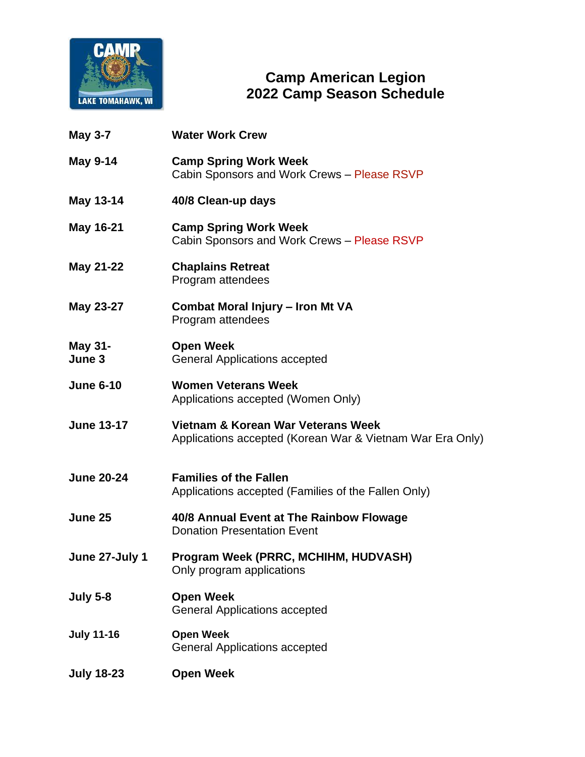

## **Camp American Legion 2022 Camp Season Schedule**

| <b>May 3-7</b>           | <b>Water Work Crew</b>                                                                          |
|--------------------------|-------------------------------------------------------------------------------------------------|
| <b>May 9-14</b>          | <b>Camp Spring Work Week</b><br>Cabin Sponsors and Work Crews - Please RSVP                     |
| May 13-14                | 40/8 Clean-up days                                                                              |
| May 16-21                | <b>Camp Spring Work Week</b><br>Cabin Sponsors and Work Crews - Please RSVP                     |
| May 21-22                | <b>Chaplains Retreat</b><br>Program attendees                                                   |
| May 23-27                | Combat Moral Injury - Iron Mt VA<br>Program attendees                                           |
| <b>May 31-</b><br>June 3 | <b>Open Week</b><br><b>General Applications accepted</b>                                        |
| <b>June 6-10</b>         | <b>Women Veterans Week</b><br>Applications accepted (Women Only)                                |
| <b>June 13-17</b>        | Vietnam & Korean War Veterans Week<br>Applications accepted (Korean War & Vietnam War Era Only) |
| <b>June 20-24</b>        | <b>Families of the Fallen</b><br>Applications accepted (Families of the Fallen Only)            |
| June 25                  | 40/8 Annual Event at The Rainbow Flowage<br><b>Donation Presentation Event</b>                  |
| June 27-July 1           | Program Week (PRRC, MCHIHM, HUDVASH)<br>Only program applications                               |
| <b>July 5-8</b>          | <b>Open Week</b><br><b>General Applications accepted</b>                                        |
| <b>July 11-16</b>        | <b>Open Week</b><br><b>General Applications accepted</b>                                        |
| <b>July 18-23</b>        | <b>Open Week</b>                                                                                |